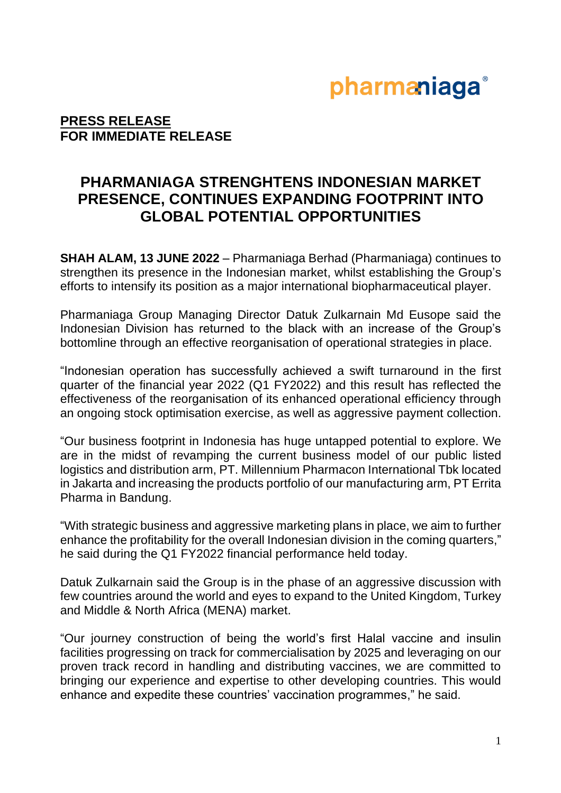## pharmaniaga®

### **PRESS RELEASE FOR IMMEDIATE RELEASE**

### **PHARMANIAGA STRENGHTENS INDONESIAN MARKET PRESENCE, CONTINUES EXPANDING FOOTPRINT INTO GLOBAL POTENTIAL OPPORTUNITIES**

**SHAH ALAM, 13 JUNE 2022** – Pharmaniaga Berhad (Pharmaniaga) continues to strengthen its presence in the Indonesian market, whilst establishing the Group's efforts to intensify its position as a major international biopharmaceutical player.

Pharmaniaga Group Managing Director Datuk Zulkarnain Md Eusope said the Indonesian Division has returned to the black with an increase of the Group's bottomline through an effective reorganisation of operational strategies in place.

"Indonesian operation has successfully achieved a swift turnaround in the first quarter of the financial year 2022 (Q1 FY2022) and this result has reflected the effectiveness of the reorganisation of its enhanced operational efficiency through an ongoing stock optimisation exercise, as well as aggressive payment collection.

"Our business footprint in Indonesia has huge untapped potential to explore. We are in the midst of revamping the current business model of our public listed logistics and distribution arm, PT. Millennium Pharmacon International Tbk located in Jakarta and increasing the products portfolio of our manufacturing arm, PT Errita Pharma in Bandung.

"With strategic business and aggressive marketing plans in place, we aim to further enhance the profitability for the overall Indonesian division in the coming quarters," he said during the Q1 FY2022 financial performance held today.

Datuk Zulkarnain said the Group is in the phase of an aggressive discussion with few countries around the world and eyes to expand to the United Kingdom, Turkey and Middle & North Africa (MENA) market.

"Our journey construction of being the world's first Halal vaccine and insulin facilities progressing on track for commercialisation by 2025 and leveraging on our proven track record in handling and distributing vaccines, we are committed to bringing our experience and expertise to other developing countries. This would enhance and expedite these countries' vaccination programmes," he said.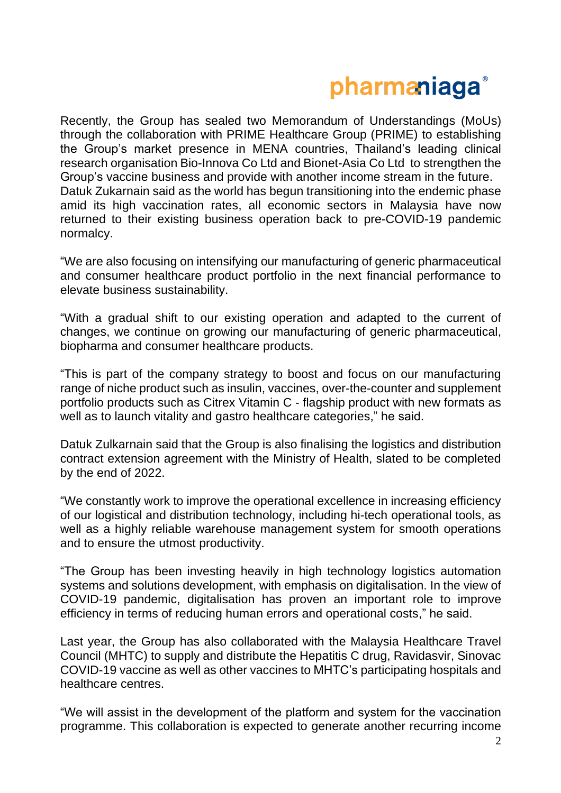# pharmaniaga<sup>®</sup>

Recently, the Group has sealed two Memorandum of Understandings (MoUs) through the collaboration with PRIME Healthcare Group (PRIME) to establishing the Group's market presence in MENA countries, Thailand's leading clinical research organisation Bio-Innova Co Ltd and Bionet-Asia Co Ltd to strengthen the Group's vaccine business and provide with another income stream in the future. Datuk Zukarnain said as the world has begun transitioning into the endemic phase amid its high vaccination rates, all economic sectors in Malaysia have now returned to their existing business operation back to pre-COVID-19 pandemic normalcy.

"We are also focusing on intensifying our manufacturing of generic pharmaceutical and consumer healthcare product portfolio in the next financial performance to elevate business sustainability.

"With a gradual shift to our existing operation and adapted to the current of changes, we continue on growing our manufacturing of generic pharmaceutical, biopharma and consumer healthcare products.

"This is part of the company strategy to boost and focus on our manufacturing range of niche product such as insulin, vaccines, over-the-counter and supplement portfolio products such as Citrex Vitamin C - flagship product with new formats as well as to launch vitality and gastro healthcare categories," he said.

Datuk Zulkarnain said that the Group is also finalising the logistics and distribution contract extension agreement with the Ministry of Health, slated to be completed by the end of 2022.

"We constantly work to improve the operational excellence in increasing efficiency of our logistical and distribution technology, including hi-tech operational tools, as well as a highly reliable warehouse management system for smooth operations and to ensure the utmost productivity.

"The Group has been investing heavily in high technology logistics automation systems and solutions development, with emphasis on digitalisation. In the view of COVID-19 pandemic, digitalisation has proven an important role to improve efficiency in terms of reducing human errors and operational costs," he said.

Last year, the Group has also collaborated with the Malaysia Healthcare Travel Council (MHTC) to supply and distribute the Hepatitis C drug, Ravidasvir, Sinovac COVID-19 vaccine as well as other vaccines to MHTC's participating hospitals and healthcare centres.

"We will assist in the development of the platform and system for the vaccination programme. This collaboration is expected to generate another recurring income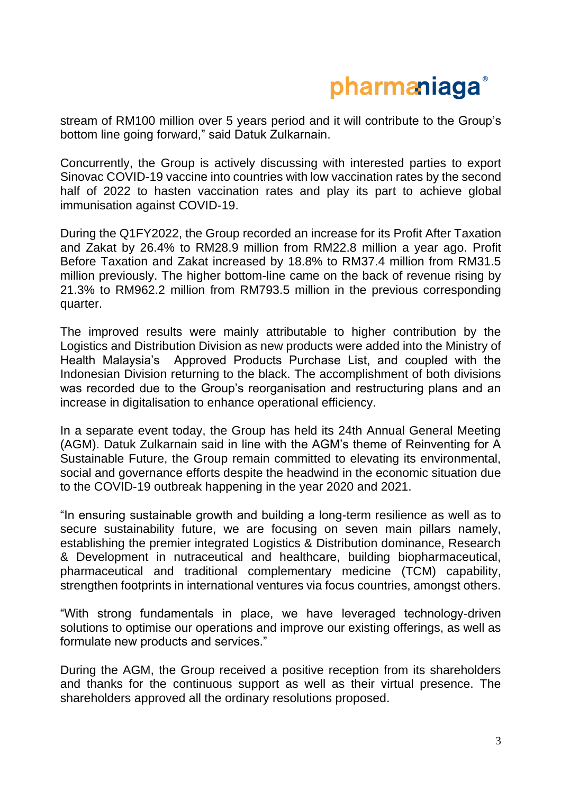# pharmaniaga<sup>®</sup>

stream of RM100 million over 5 years period and it will contribute to the Group's bottom line going forward," said Datuk Zulkarnain.

Concurrently, the Group is actively discussing with interested parties to export Sinovac COVID-19 vaccine into countries with low vaccination rates by the second half of 2022 to hasten vaccination rates and play its part to achieve global immunisation against COVID-19.

During the Q1FY2022, the Group recorded an increase for its Profit After Taxation and Zakat by 26.4% to RM28.9 million from RM22.8 million a year ago. Profit Before Taxation and Zakat increased by 18.8% to RM37.4 million from RM31.5 million previously. The higher bottom-line came on the back of revenue rising by 21.3% to RM962.2 million from RM793.5 million in the previous corresponding quarter.

The improved results were mainly attributable to higher contribution by the Logistics and Distribution Division as new products were added into the Ministry of Health Malaysia's Approved Products Purchase List, and coupled with the Indonesian Division returning to the black. The accomplishment of both divisions was recorded due to the Group's reorganisation and restructuring plans and an increase in digitalisation to enhance operational efficiency.

In a separate event today, the Group has held its 24th Annual General Meeting (AGM). Datuk Zulkarnain said in line with the AGM's theme of Reinventing for A Sustainable Future, the Group remain committed to elevating its environmental, social and governance efforts despite the headwind in the economic situation due to the COVID-19 outbreak happening in the year 2020 and 2021.

"In ensuring sustainable growth and building a long-term resilience as well as to secure sustainability future, we are focusing on seven main pillars namely, establishing the premier integrated Logistics & Distribution dominance, Research & Development in nutraceutical and healthcare, building biopharmaceutical, pharmaceutical and traditional complementary medicine (TCM) capability, strengthen footprints in international ventures via focus countries, amongst others.

"With strong fundamentals in place, we have leveraged technology-driven solutions to optimise our operations and improve our existing offerings, as well as formulate new products and services."

During the AGM, the Group received a positive reception from its shareholders and thanks for the continuous support as well as their virtual presence. The shareholders approved all the ordinary resolutions proposed.